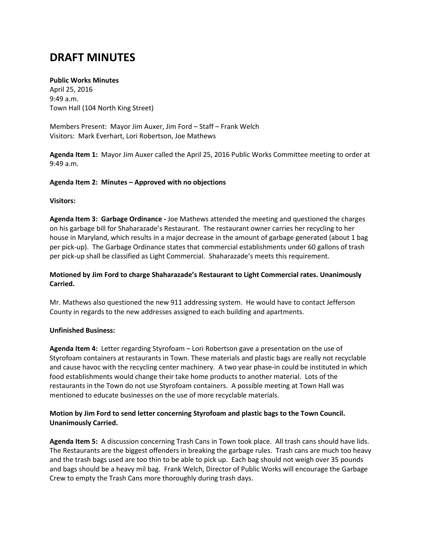# **DRAFT MINUTES**

#### **Public Works Minutes**

April 25, 2016 9:49 a.m. Town Hall (104 North King Street)

Members Present: Mayor Jim Auxer, Jim Ford – Staff – Frank Welch Visitors: Mark Everhart, Lori Robertson, Joe Mathews

**Agenda Item 1:** Mayor Jim Auxer called the April 25, 2016 Public Works Committee meeting to order at 9:49 a.m.

#### **Agenda Item 2: Minutes – Approved with no objections**

#### **Visitors:**

**Agenda Item 3: Garbage Ordinance -** Joe Mathews attended the meeting and questioned the charges on his garbage bill for Shaharazade's Restaurant. The restaurant owner carries her recycling to her house in Maryland, which results in a major decrease in the amount of garbage generated (about 1 bag per pick-up). The Garbage Ordinance states that commercial establishments under 60 gallons of trash per pick-up shall be classified as Light Commercial. Shaharazade's meets this requirement.

#### **Motioned by Jim Ford to charge Shaharazade's Restaurant to Light Commercial rates. Unanimously Carried.**

Mr. Mathews also questioned the new 911 addressing system. He would have to contact Jefferson County in regards to the new addresses assigned to each building and apartments.

#### **Unfinished Business:**

**Agenda Item 4:** Letter regarding Styrofoam – Lori Robertson gave a presentation on the use of Styrofoam containers at restaurants in Town. These materials and plastic bags are really not recyclable and cause havoc with the recycling center machinery. A two year phase-in could be instituted in which food establishments would change their take home products to another material. Lots of the restaurants in the Town do not use Styrofoam containers. A possible meeting at Town Hall was mentioned to educate businesses on the use of more recyclable materials.

#### **Motion by Jim Ford to send letter concerning Styrofoam and plastic bags to the Town Council. Unanimously Carried.**

**Agenda Item 5:** A discussion concerning Trash Cans in Town took place. All trash cans should have lids. The Restaurants are the biggest offenders in breaking the garbage rules. Trash cans are much too heavy and the trash bags used are too thin to be able to pick up. Each bag should not weigh over 35 pounds and bags should be a heavy mil bag. Frank Welch, Director of Public Works will encourage the Garbage Crew to empty the Trash Cans more thoroughly during trash days.